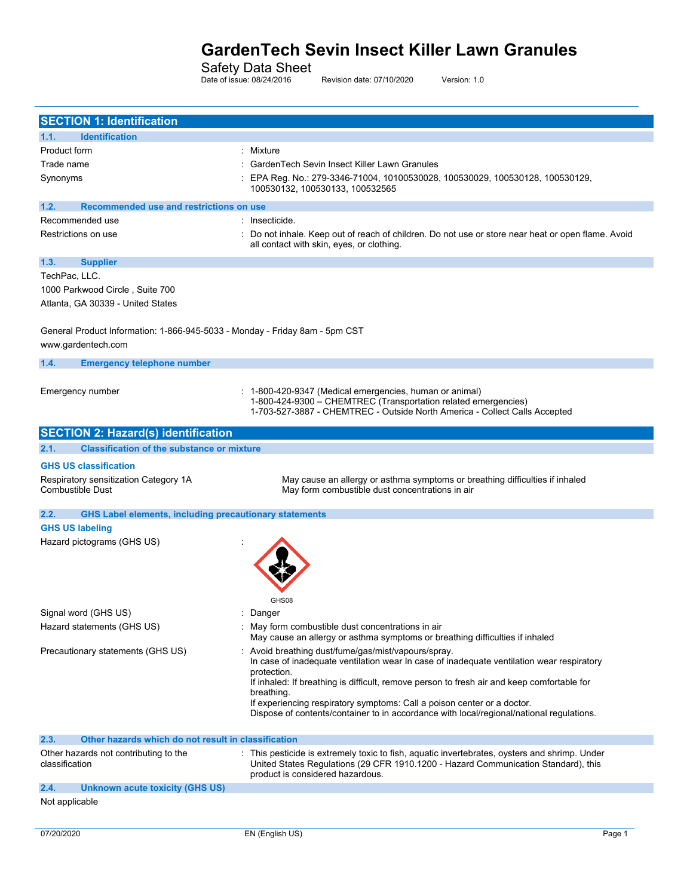Safety Data Sheet

Date of issue: 08/24/2016 Revision date: 07/10/2020 Version: 1.0

| <b>SECTION 1: Identification</b>                                                                  |                                                                                                                                                                                                                                                                                                                                                                                                                                                  |
|---------------------------------------------------------------------------------------------------|--------------------------------------------------------------------------------------------------------------------------------------------------------------------------------------------------------------------------------------------------------------------------------------------------------------------------------------------------------------------------------------------------------------------------------------------------|
| <b>Identification</b><br>1.1.                                                                     |                                                                                                                                                                                                                                                                                                                                                                                                                                                  |
| Product form                                                                                      | Mixture                                                                                                                                                                                                                                                                                                                                                                                                                                          |
| Trade name                                                                                        | GardenTech Sevin Insect Killer Lawn Granules                                                                                                                                                                                                                                                                                                                                                                                                     |
| Synonyms                                                                                          | EPA Reg. No.: 279-3346-71004, 10100530028, 100530029, 100530128, 100530129,<br>100530132, 100530133, 100532565                                                                                                                                                                                                                                                                                                                                   |
| 1.2.<br>Recommended use and restrictions on use                                                   |                                                                                                                                                                                                                                                                                                                                                                                                                                                  |
| Recommended use                                                                                   | : Insecticide.                                                                                                                                                                                                                                                                                                                                                                                                                                   |
| Restrictions on use                                                                               | Do not inhale. Keep out of reach of children. Do not use or store near heat or open flame. Avoid<br>all contact with skin, eyes, or clothing.                                                                                                                                                                                                                                                                                                    |
| 1.3.<br><b>Supplier</b>                                                                           |                                                                                                                                                                                                                                                                                                                                                                                                                                                  |
| TechPac, LLC.                                                                                     |                                                                                                                                                                                                                                                                                                                                                                                                                                                  |
| 1000 Parkwood Circle, Suite 700<br>Atlanta, GA 30339 - United States                              |                                                                                                                                                                                                                                                                                                                                                                                                                                                  |
| General Product Information: 1-866-945-5033 - Monday - Friday 8am - 5pm CST<br>www.gardentech.com |                                                                                                                                                                                                                                                                                                                                                                                                                                                  |
| 1.4.<br><b>Emergency telephone number</b>                                                         |                                                                                                                                                                                                                                                                                                                                                                                                                                                  |
|                                                                                                   |                                                                                                                                                                                                                                                                                                                                                                                                                                                  |
| Emergency number                                                                                  | 1-800-420-9347 (Medical emergencies, human or animal)<br>1-800-424-9300 - CHEMTREC (Transportation related emergencies)<br>1-703-527-3887 - CHEMTREC - Outside North America - Collect Calls Accepted                                                                                                                                                                                                                                            |
| <b>SECTION 2: Hazard(s) identification</b>                                                        |                                                                                                                                                                                                                                                                                                                                                                                                                                                  |
| <b>Classification of the substance or mixture</b><br>2.1.                                         |                                                                                                                                                                                                                                                                                                                                                                                                                                                  |
| <b>GHS US classification</b>                                                                      |                                                                                                                                                                                                                                                                                                                                                                                                                                                  |
| Respiratory sensitization Category 1A<br><b>Combustible Dust</b>                                  | May cause an allergy or asthma symptoms or breathing difficulties if inhaled<br>May form combustible dust concentrations in air                                                                                                                                                                                                                                                                                                                  |
| 2.2.<br><b>GHS Label elements, including precautionary statements</b>                             |                                                                                                                                                                                                                                                                                                                                                                                                                                                  |
| <b>GHS US labeling</b>                                                                            |                                                                                                                                                                                                                                                                                                                                                                                                                                                  |
| Hazard pictograms (GHS US)                                                                        | GHS08                                                                                                                                                                                                                                                                                                                                                                                                                                            |
| Signal word (GHS US)                                                                              | Danger                                                                                                                                                                                                                                                                                                                                                                                                                                           |
| Hazard statements (GHS US)                                                                        | May form combustible dust concentrations in air<br>May cause an allergy or asthma symptoms or breathing difficulties if inhaled                                                                                                                                                                                                                                                                                                                  |
| Precautionary statements (GHS US)                                                                 | Avoid breathing dust/fume/gas/mist/vapours/spray.<br>In case of inadequate ventilation wear In case of inadequate ventilation wear respiratory<br>protection.<br>If inhaled: If breathing is difficult, remove person to fresh air and keep comfortable for<br>breathing.<br>If experiencing respiratory symptoms: Call a poison center or a doctor.<br>Dispose of contents/container to in accordance with local/regional/national regulations. |
| Other hazards which do not result in classification<br>2.3.                                       |                                                                                                                                                                                                                                                                                                                                                                                                                                                  |
| Other hazards not contributing to the<br>classification                                           | This pesticide is extremely toxic to fish, aquatic invertebrates, oysters and shrimp. Under<br>United States Regulations (29 CFR 1910.1200 - Hazard Communication Standard), this<br>product is considered hazardous.                                                                                                                                                                                                                            |
| 2.4.<br><b>Unknown acute toxicity (GHS US)</b>                                                    |                                                                                                                                                                                                                                                                                                                                                                                                                                                  |
| Not applicable                                                                                    |                                                                                                                                                                                                                                                                                                                                                                                                                                                  |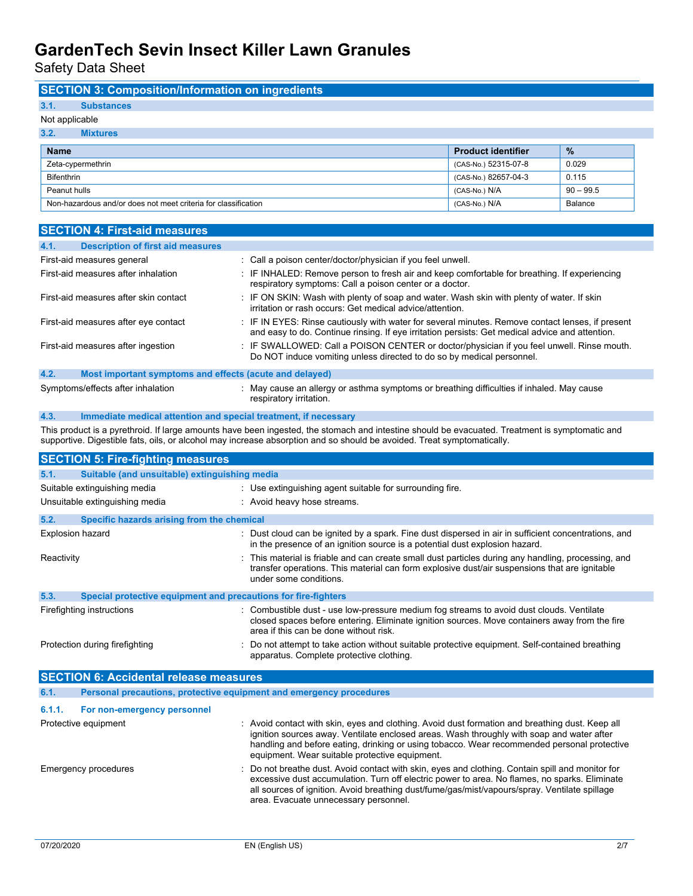Safety Data Sheet

## **SECTION 3: Composition/Information on ingredients**

# **3.1. Substances**

## Not applicable

| 3.2.<br><b>Mixtures</b>                                        |                           |               |
|----------------------------------------------------------------|---------------------------|---------------|
| <b>Name</b>                                                    | <b>Product identifier</b> | $\frac{9}{6}$ |
| Zeta-cypermethrin                                              | (CAS-No.) 52315-07-8      | 0.029         |
| <b>Bifenthrin</b>                                              | (CAS-No.) 82657-04-3      | 0.115         |
| Peanut hulls                                                   | (CAS-No.) N/A             | $90 - 99.5$   |
| Non-hazardous and/or does not meet criteria for classification | (CAS-No.) N/A             | Balance       |

| <b>SECTION 4: First-aid measures</b>                            |                                                                                                                                                                                                     |  |  |
|-----------------------------------------------------------------|-----------------------------------------------------------------------------------------------------------------------------------------------------------------------------------------------------|--|--|
| 4.1.<br><b>Description of first aid measures</b>                |                                                                                                                                                                                                     |  |  |
| First-aid measures general                                      | : Call a poison center/doctor/physician if you feel unwell.                                                                                                                                         |  |  |
| First-aid measures after inhalation                             | : IF INHALED: Remove person to fresh air and keep comfortable for breathing. If experiencing<br>respiratory symptoms: Call a poison center or a doctor.                                             |  |  |
| First-aid measures after skin contact                           | : IF ON SKIN: Wash with plenty of soap and water. Wash skin with plenty of water. If skin<br>irritation or rash occurs: Get medical advice/attention.                                               |  |  |
| First-aid measures after eye contact                            | : IF IN EYES: Rinse cautiously with water for several minutes. Remove contact lenses, if present<br>and easy to do. Continue rinsing. If eye irritation persists: Get medical advice and attention. |  |  |
| First-aid measures after ingestion                              | : IF SWALLOWED: Call a POISON CENTER or doctor/physician if you feel unwell. Rinse mouth.<br>Do NOT induce vomiting unless directed to do so by medical personnel.                                  |  |  |
| 4.2.<br>Most important symptoms and effects (acute and delayed) |                                                                                                                                                                                                     |  |  |
| Symptoms/effects after inhalation                               | : May cause an allergy or asthma symptoms or breathing difficulties if inhaled. May cause<br>respiratory irritation.                                                                                |  |  |

### **4.3. Immediate medical attention and special treatment, if necessary**

This product is a pyrethroid. If large amounts have been ingested, the stomach and intestine should be evacuated. Treatment is symptomatic and supportive. Digestible fats, oils, or alcohol may increase absorption and so should be avoided. Treat symptomatically.

| <b>SECTION 5: Fire-fighting measures</b>                                                 |                                                                     |                                                                                                                                                                                                                                                                                                                                               |
|------------------------------------------------------------------------------------------|---------------------------------------------------------------------|-----------------------------------------------------------------------------------------------------------------------------------------------------------------------------------------------------------------------------------------------------------------------------------------------------------------------------------------------|
| 5.1.                                                                                     | Suitable (and unsuitable) extinguishing media                       |                                                                                                                                                                                                                                                                                                                                               |
| Suitable extinguishing media<br>: Use extinguishing agent suitable for surrounding fire. |                                                                     |                                                                                                                                                                                                                                                                                                                                               |
|                                                                                          | Unsuitable extinguishing media                                      | : Avoid heavy hose streams.                                                                                                                                                                                                                                                                                                                   |
| 5.2.                                                                                     | Specific hazards arising from the chemical                          |                                                                                                                                                                                                                                                                                                                                               |
|                                                                                          | <b>Explosion hazard</b>                                             | : Dust cloud can be ignited by a spark. Fine dust dispersed in air in sufficient concentrations, and<br>in the presence of an ignition source is a potential dust explosion hazard.                                                                                                                                                           |
| Reactivity                                                                               |                                                                     | : This material is friable and can create small dust particles during any handling, processing, and<br>transfer operations. This material can form explosive dust/air suspensions that are ignitable<br>under some conditions.                                                                                                                |
| 5.3.                                                                                     | Special protective equipment and precautions for fire-fighters      |                                                                                                                                                                                                                                                                                                                                               |
|                                                                                          | Firefighting instructions                                           | : Combustible dust - use low-pressure medium fog streams to avoid dust clouds. Ventilate<br>closed spaces before entering. Eliminate ignition sources. Move containers away from the fire<br>area if this can be done without risk.                                                                                                           |
|                                                                                          | Protection during firefighting                                      | : Do not attempt to take action without suitable protective equipment. Self-contained breathing<br>apparatus. Complete protective clothing.                                                                                                                                                                                                   |
|                                                                                          | <b>SECTION 6: Accidental release measures</b>                       |                                                                                                                                                                                                                                                                                                                                               |
| 6.1.                                                                                     | Personal precautions, protective equipment and emergency procedures |                                                                                                                                                                                                                                                                                                                                               |
| 6.1.1.                                                                                   | For non-emergency personnel                                         |                                                                                                                                                                                                                                                                                                                                               |
|                                                                                          | Protective equipment                                                | : Avoid contact with skin, eyes and clothing. Avoid dust formation and breathing dust. Keep all<br>ignition sources away. Ventilate enclosed areas. Wash throughly with soap and water after<br>handling and before eating, drinking or using tobacco. Wear recommended personal protective<br>equipment. Wear suitable protective equipment. |

Emergency procedures **in the start of the startedust** of the above that Avoid contact with skin, eyes and clothing. Contain spill and monitor for excessive dust accumulation. Turn off electric power to area. No flames, no sparks. Eliminate all sources of ignition. Avoid breathing dust/fume/gas/mist/vapours/spray. Ventilate spillage area. Evacuate unnecessary personnel.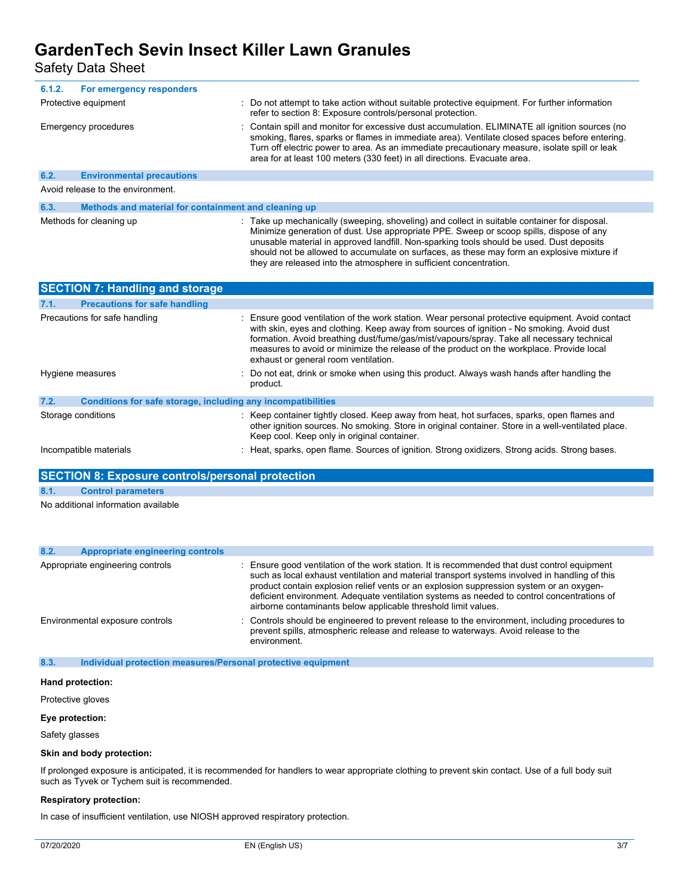Safety Data Sheet

| 6.1.2. | For emergency responders                             |                                                                                                                                                                                                                                                                                                                                                                                 |
|--------|------------------------------------------------------|---------------------------------------------------------------------------------------------------------------------------------------------------------------------------------------------------------------------------------------------------------------------------------------------------------------------------------------------------------------------------------|
|        | Protective equipment                                 | : Do not attempt to take action without suitable protective equipment. For further information<br>refer to section 8: Exposure controls/personal protection.                                                                                                                                                                                                                    |
|        | Emergency procedures                                 | : Contain spill and monitor for excessive dust accumulation. ELIMINATE all ignition sources (no<br>smoking, flares, sparks or flames in immediate area). Ventilate closed spaces before entering.<br>Turn off electric power to area. As an immediate precautionary measure, isolate spill or leak<br>area for at least 100 meters (330 feet) in all directions. Evacuate area. |
| 6.2.   | <b>Environmental precautions</b>                     |                                                                                                                                                                                                                                                                                                                                                                                 |
|        | Avoid release to the environment.                    |                                                                                                                                                                                                                                                                                                                                                                                 |
| 6.3.   | Methods and material for containment and cleaning up |                                                                                                                                                                                                                                                                                                                                                                                 |
|        |                                                      |                                                                                                                                                                                                                                                                                                                                                                                 |

| Methods for cleaning up | : Take up mechanically (sweeping, shoveling) and collect in suitable container for disposal.<br>Minimize generation of dust. Use appropriate PPE. Sweep or scoop spills, dispose of any<br>unusable material in approved landfill. Non-sparking tools should be used. Dust deposits<br>should not be allowed to accumulate on surfaces, as these may form an explosive mixture if<br>they are released into the atmosphere in sufficient concentration. |
|-------------------------|---------------------------------------------------------------------------------------------------------------------------------------------------------------------------------------------------------------------------------------------------------------------------------------------------------------------------------------------------------------------------------------------------------------------------------------------------------|
|-------------------------|---------------------------------------------------------------------------------------------------------------------------------------------------------------------------------------------------------------------------------------------------------------------------------------------------------------------------------------------------------------------------------------------------------------------------------------------------------|

| <b>SECTION 7: Handling and storage</b> |                                                              |                                                                                                                                                                                                                                                                                                                                                                                                                                |  |
|----------------------------------------|--------------------------------------------------------------|--------------------------------------------------------------------------------------------------------------------------------------------------------------------------------------------------------------------------------------------------------------------------------------------------------------------------------------------------------------------------------------------------------------------------------|--|
| 7.1.                                   | <b>Precautions for safe handling</b>                         |                                                                                                                                                                                                                                                                                                                                                                                                                                |  |
|                                        | Precautions for safe handling                                | : Ensure good ventilation of the work station. Wear personal protective equipment. Avoid contact<br>with skin, eyes and clothing. Keep away from sources of ignition - No smoking. Avoid dust<br>formation. Avoid breathing dust/fume/gas/mist/vapours/spray. Take all necessary technical<br>measures to avoid or minimize the release of the product on the workplace. Provide local<br>exhaust or general room ventilation. |  |
|                                        | Hygiene measures                                             | : Do not eat, drink or smoke when using this product. Always wash hands after handling the<br>product.                                                                                                                                                                                                                                                                                                                         |  |
| 7.2.                                   | Conditions for safe storage, including any incompatibilities |                                                                                                                                                                                                                                                                                                                                                                                                                                |  |
|                                        | Storage conditions                                           | : Keep container tightly closed. Keep away from heat, hot surfaces, sparks, open flames and<br>other ignition sources. No smoking. Store in original container. Store in a well-ventilated place.<br>Keep cool. Keep only in original container.                                                                                                                                                                               |  |
|                                        | Incompatible materials                                       | : Heat, sparks, open flame. Sources of ignition. Strong oxidizers. Strong acids. Strong bases.                                                                                                                                                                                                                                                                                                                                 |  |

### **SECTION 8: Exposure controls/personal protection**

**8.1. Control parameters**

No additional information available

| 8.2. | Appropriate engineering controls |                                                                                                                                                                                                                                                                                                                                                                                                                                                          |
|------|----------------------------------|----------------------------------------------------------------------------------------------------------------------------------------------------------------------------------------------------------------------------------------------------------------------------------------------------------------------------------------------------------------------------------------------------------------------------------------------------------|
|      | Appropriate engineering controls | : Ensure good ventilation of the work station. It is recommended that dust control equipment<br>such as local exhaust ventilation and material transport systems involved in handling of this<br>product contain explosion relief vents or an explosion suppression system or an oxygen-<br>deficient environment. Adequate ventilation systems as needed to control concentrations of<br>airborne contaminants below applicable threshold limit values. |
|      | Environmental exposure controls  | : Controls should be engineered to prevent release to the environment, including procedures to<br>prevent spills, atmospheric release and release to waterways. Avoid release to the<br>environment.                                                                                                                                                                                                                                                     |

**8.3. Individual protection measures/Personal protective equipment**

#### **Hand protection:**

Protective gloves

#### **Eye protection:**

Safety glasses

### **Skin and body protection:**

If prolonged exposure is anticipated, it is recommended for handlers to wear appropriate clothing to prevent skin contact. Use of a full body suit such as Tyvek or Tychem suit is recommended.

#### **Respiratory protection:**

In case of insufficient ventilation, use NIOSH approved respiratory protection.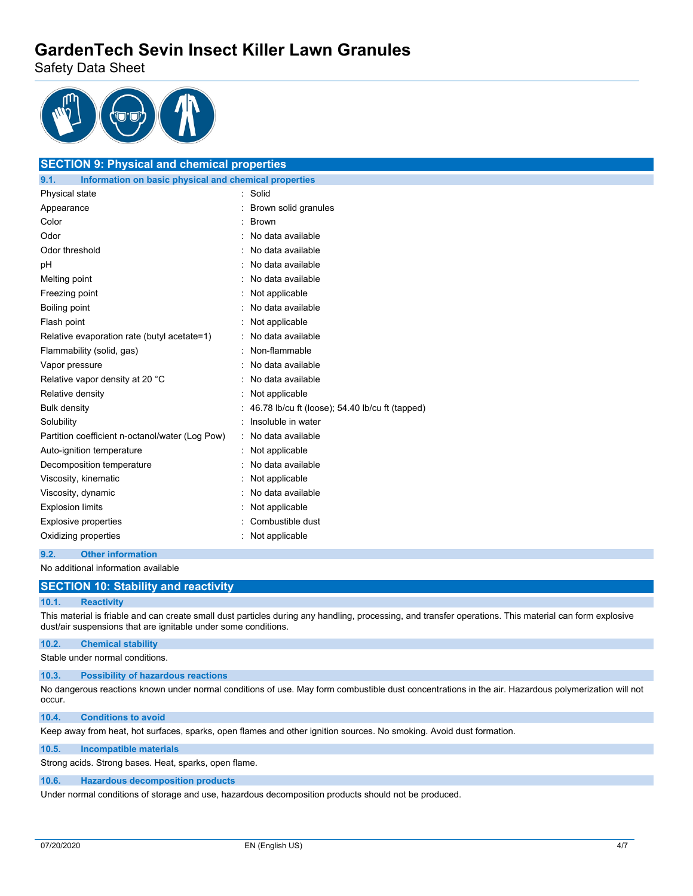Safety Data Sheet



## **SECTION 9: Physical and chemical properties 9.1. Information on basic physical and chemical properties** Physical state in the state in the solid state in the solid state in the solid state in the solid state in the solid Appearance : Brown solid granules Color : Brown Odor : No data available : No data available Odor threshold **in the contract of the contract of the contract of the contract of the contract of the contract of the contract of the contract of the contract of the contract of the contract of the contract of the contrac** pH : No data available Melting point **in the case of the case of the case of the case of the case of the case of the case of the case of the case of the case of the case of the case of the case of the case of the case of the case of the case of** Freezing point **in the case of the Contract Contract Contract Contract Contract Contract Contract Contract Contract Contract Contract Contract Contract Contract Contract Contract Contract Contract Contract Contract Contrac** Boiling point **in the set of the set of the set of the set of the set of the set of the set of the set of the set of the set of the set of the set of the set of the set of the set of the set of the set of the set of the se** Flash point **in the contract of the contract of the contract of the contract of the contract of the contract of the contract of the contract of the contract of the contract of the contract of the contract of the contract o** Relative evaporation rate (butyl acetate=1) : No data available Flammability (solid, gas) : Non-flammable Vapor pressure in the set of the set of the No data available Relative vapor density at 20 °C : No data available Relative density **in the case of the COV**  $\sim$  2011 : Not applicable Bulk density **EXECUTE:** 46.78 lb/cu ft (loose); 54.40 lb/cu ft (tapped) Solubility : Insoluble in water Partition coefficient n-octanol/water (Log Pow) : No data available Auto-ignition temperature **interest and the Contract Auto-** : Not applicable Decomposition temperature **interest and the Composition temperature** intervalse in No data available Viscosity, kinematic **intervalse in the Contract Contract Contract Contract Contract Contract Contract Contract Contract Contract Contract Contract Contract Contract Contract Contract Contract Contract Contract Contract Co** Viscosity, dynamic **intervalse in the Contract of Contract Available** : No data available Explosion limits **Explosion** limits **in the set of the set of the set of the set of the set of the set of the set of the set of the set of the set of the set of the set of the set of the set of the set of the set of the se** Explosive properties **in the COME COMBUST COMBUST** : Combustible dust Oxidizing properties **in the Community Community** Oxidizing properties

#### **9.2. Other information**

No additional information available

## **SECTION 10: Stability and reactivity**

#### **10.1. Reactivity**

This material is friable and can create small dust particles during any handling, processing, and transfer operations. This material can form explosive dust/air suspensions that are ignitable under some conditions.

#### **10.2. Chemical stability**

Stable under normal conditions.

#### **10.3. Possibility of hazardous reactions**

No dangerous reactions known under normal conditions of use. May form combustible dust concentrations in the air. Hazardous polymerization will not occur.

**10.4. Conditions to avoid**

Keep away from heat, hot surfaces, sparks, open flames and other ignition sources. No smoking. Avoid dust formation.

#### **10.5. Incompatible materials**

Strong acids. Strong bases. Heat, sparks, open flame.

#### **10.6. Hazardous decomposition products**

Under normal conditions of storage and use, hazardous decomposition products should not be produced.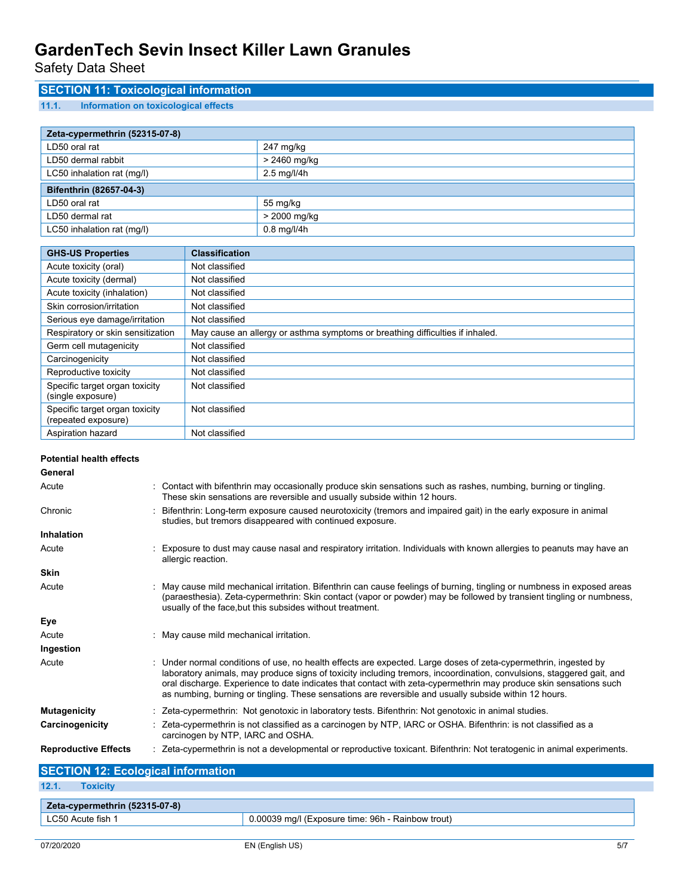Safety Data Sheet

## **SECTION 11: Toxicological information**

### **11.1. Information on toxicological effects**

| Zeta-cypermethrin (52315-07-8) |                                |  |
|--------------------------------|--------------------------------|--|
| LD50 oral rat                  | 247 mg/kg                      |  |
| LD50 dermal rabbit             | > 2460 mg/kg                   |  |
| LC50 inhalation rat (mg/l)     | $2.5 \text{ mg}/\frac{1}{4}$ h |  |
| Bifenthrin (82657-04-3)        |                                |  |
| LD50 oral rat                  | 55 mg/kg                       |  |
| LD50 dermal rat                | > 2000 mg/kg                   |  |
| LC50 inhalation rat (mg/l)     | $0.8$ mg/l/4h                  |  |

| <b>GHS-US Properties</b>                              | <b>Classification</b>                                                         |
|-------------------------------------------------------|-------------------------------------------------------------------------------|
| Acute toxicity (oral)                                 | Not classified                                                                |
| Acute toxicity (dermal)                               | Not classified                                                                |
| Acute toxicity (inhalation)                           | Not classified                                                                |
| Skin corrosion/irritation                             | Not classified                                                                |
| Serious eye damage/irritation                         | Not classified                                                                |
| Respiratory or skin sensitization                     | May cause an allergy or asthma symptoms or breathing difficulties if inhaled. |
| Germ cell mutagenicity                                | Not classified                                                                |
| Carcinogenicity                                       | Not classified                                                                |
| Reproductive toxicity                                 | Not classified                                                                |
| Specific target organ toxicity<br>(single exposure)   | Not classified                                                                |
| Specific target organ toxicity<br>(repeated exposure) | Not classified                                                                |
| Aspiration hazard                                     | Not classified                                                                |

| <b>Potential health effects</b> |                                                                                                                                                                                                                                                                                                                                                                                                                                                                        |
|---------------------------------|------------------------------------------------------------------------------------------------------------------------------------------------------------------------------------------------------------------------------------------------------------------------------------------------------------------------------------------------------------------------------------------------------------------------------------------------------------------------|
| General                         |                                                                                                                                                                                                                                                                                                                                                                                                                                                                        |
| Acute                           | : Contact with bifenthrin may occasionally produce skin sensations such as rashes, numbing, burning or tingling.<br>These skin sensations are reversible and usually subside within 12 hours.                                                                                                                                                                                                                                                                          |
| Chronic                         | : Bifenthrin: Long-term exposure caused neurotoxicity (tremors and impaired gait) in the early exposure in animal<br>studies, but tremors disappeared with continued exposure.                                                                                                                                                                                                                                                                                         |
| <b>Inhalation</b>               |                                                                                                                                                                                                                                                                                                                                                                                                                                                                        |
| Acute                           | : Exposure to dust may cause nasal and respiratory irritation. Individuals with known allergies to peanuts may have an<br>allergic reaction.                                                                                                                                                                                                                                                                                                                           |
| <b>Skin</b>                     |                                                                                                                                                                                                                                                                                                                                                                                                                                                                        |
| Acute                           | : May cause mild mechanical irritation. Bifenthrin can cause feelings of burning, tingling or numbness in exposed areas<br>(paraesthesia). Zeta-cypermethrin: Skin contact (vapor or powder) may be followed by transient tingling or numbness,<br>usually of the face, but this subsides without treatment.                                                                                                                                                           |
| Eye                             |                                                                                                                                                                                                                                                                                                                                                                                                                                                                        |
| Acute                           | : May cause mild mechanical irritation.                                                                                                                                                                                                                                                                                                                                                                                                                                |
| Ingestion                       |                                                                                                                                                                                                                                                                                                                                                                                                                                                                        |
| Acute                           | : Under normal conditions of use, no health effects are expected. Large doses of zeta-cypermethrin, ingested by<br>laboratory animals, may produce signs of toxicity including tremors, incoordination, convulsions, staggered gait, and<br>oral discharge. Experience to date indicates that contact with zeta-cypermethrin may produce skin sensations such<br>as numbing, burning or tingling. These sensations are reversible and usually subside within 12 hours. |
| <b>Mutagenicity</b>             | : Zeta-cypermethrin: Not genotoxic in laboratory tests. Bifenthrin: Not genotoxic in animal studies.                                                                                                                                                                                                                                                                                                                                                                   |
| Carcinogenicity                 | : Zeta-cypermethrin is not classified as a carcinogen by NTP, IARC or OSHA. Bifenthrin: is not classified as a<br>carcinogen by NTP, IARC and OSHA.                                                                                                                                                                                                                                                                                                                    |
| <b>Reproductive Effects</b>     | : Zeta-cypermethrin is not a developmental or reproductive toxicant. Bifenthrin: Not teratogenic in animal experiments.                                                                                                                                                                                                                                                                                                                                                |

## **SECTION 12: Ecological information 12.1. Toxicity Zeta-cypermethrin (52315-07-8)** LC50 Acute fish 1 **Departument 1** 0.00039 mg/l (Exposure time: 96h - Rainbow trout)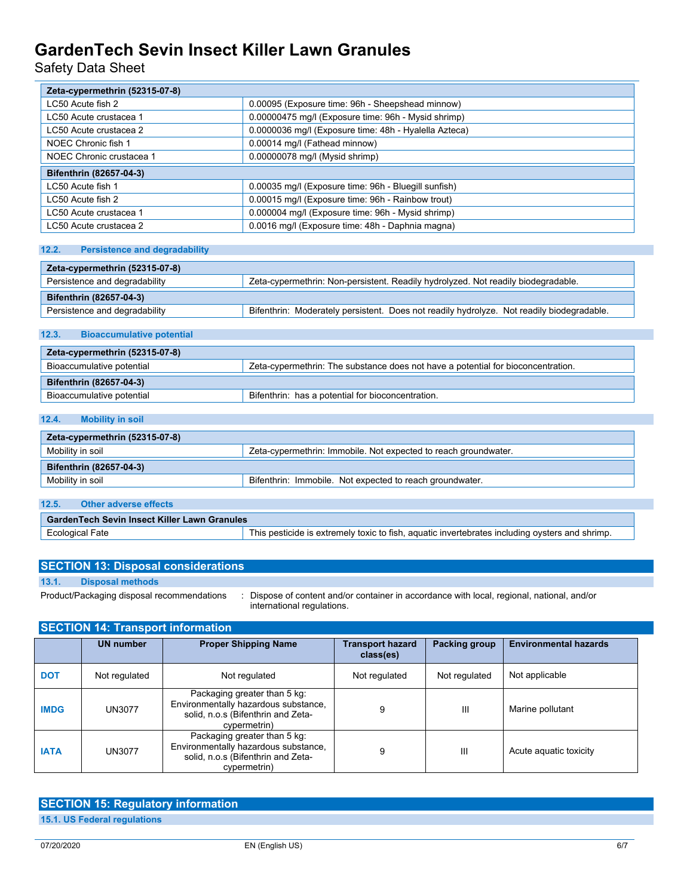Safety Data Sheet

| Zeta-cypermethrin (52315-07-8) |                                                       |  |
|--------------------------------|-------------------------------------------------------|--|
| LC50 Acute fish 2              | 0.00095 (Exposure time: 96h - Sheepshead minnow)      |  |
| LC50 Acute crustacea 1         | 0.00000475 mg/l (Exposure time: 96h - Mysid shrimp)   |  |
| LC50 Acute crustacea 2         | 0.0000036 mg/l (Exposure time: 48h - Hyalella Azteca) |  |
| NOEC Chronic fish 1            | 0.00014 mg/l (Fathead minnow)                         |  |
| NOEC Chronic crustacea 1       | 0.00000078 mg/l (Mysid shrimp)                        |  |
| Bifenthrin (82657-04-3)        |                                                       |  |
| LC50 Acute fish 1              | 0.00035 mg/l (Exposure time: 96h - Bluegill sunfish)  |  |
| LC50 Acute fish 2              | 0.00015 mg/l (Exposure time: 96h - Rainbow trout)     |  |
| LC50 Acute crustacea 1         | 0.000004 mg/l (Exposure time: 96h - Mysid shrimp)     |  |
| LC50 Acute crustacea 2         | 0.0016 mg/l (Exposure time: 48h - Daphnia magna)      |  |

### **12.2. Persistence and degradability**

| Zeta-cypermethrin (52315-07-8)                                                                                     |                                                                                           |  |
|--------------------------------------------------------------------------------------------------------------------|-------------------------------------------------------------------------------------------|--|
| Zeta-cypermethrin: Non-persistent. Readily hydrolyzed. Not readily biodegradable.<br>Persistence and degradability |                                                                                           |  |
| <b>Bifenthrin (82657-04-3)</b>                                                                                     |                                                                                           |  |
| Persistence and degradability                                                                                      | Bifenthrin: Moderately persistent. Does not readily hydrolyze. Not readily biodegradable. |  |

### **12.3. Bioaccumulative potential**

| Zeta-cypermethrin (52315-07-8) |                                                                                  |
|--------------------------------|----------------------------------------------------------------------------------|
| Bioaccumulative potential      | Zeta-cypermethrin: The substance does not have a potential for bioconcentration. |
| Bifenthrin (82657-04-3)        |                                                                                  |
| Bioaccumulative potential      | Bifenthrin: has a potential for bioconcentration.                                |

### **12.4. Mobility in soil**

| Zeta-cypermethrin (52315-07-8) |                                                                 |  |
|--------------------------------|-----------------------------------------------------------------|--|
| Mobility in soil               | Zeta-cypermethrin: Immobile. Not expected to reach groundwater. |  |
| <b>Bifenthrin (82657-04-3)</b> |                                                                 |  |
| Mobility in soil               | Bifenthrin: Immobile. Not expected to reach groundwater.        |  |

| 12.5.<br>Other adverse effects               |                                                                                                |
|----------------------------------------------|------------------------------------------------------------------------------------------------|
| GardenTech Sevin Insect Killer Lawn Granules |                                                                                                |
| Ecological Fate                              | This pesticide is extremely toxic to fish, aquatic invertebrates including oysters and shrimp. |

|       | <b>SECTION 13: Disposal considerations</b> |                                                                                            |
|-------|--------------------------------------------|--------------------------------------------------------------------------------------------|
| 13.1. | <b>Disposal methods</b>                    |                                                                                            |
|       | Product/Packaging disposal recommendations | : Dispose of content and/or container in accordance with local, regional, national, and/or |

international regulations.

| <b>SECTION 14: Transport information</b> |  |
|------------------------------------------|--|
|                                          |  |

|             | <b>UN number</b> | <b>Proper Shipping Name</b>                                                                                                | <b>Transport hazard</b><br>class(es) | Packing group | <b>Environmental hazards</b> |
|-------------|------------------|----------------------------------------------------------------------------------------------------------------------------|--------------------------------------|---------------|------------------------------|
| <b>DOT</b>  | Not regulated    | Not regulated                                                                                                              | Not regulated                        | Not regulated | Not applicable               |
| <b>IMDG</b> | <b>UN3077</b>    | Packaging greater than 5 kg:<br>Environmentally hazardous substance,<br>solid, n.o.s (Bifenthrin and Zeta-<br>cypermetrin) | 9                                    | Ш             | Marine pollutant             |
| <b>IATA</b> | <b>UN3077</b>    | Packaging greater than 5 kg:<br>Environmentally hazardous substance,<br>solid, n.o.s (Bifenthrin and Zeta-<br>cypermetrin) | 9                                    | Ш             | Acute aguatic toxicity       |

# **SECTION 15: Regulatory information**